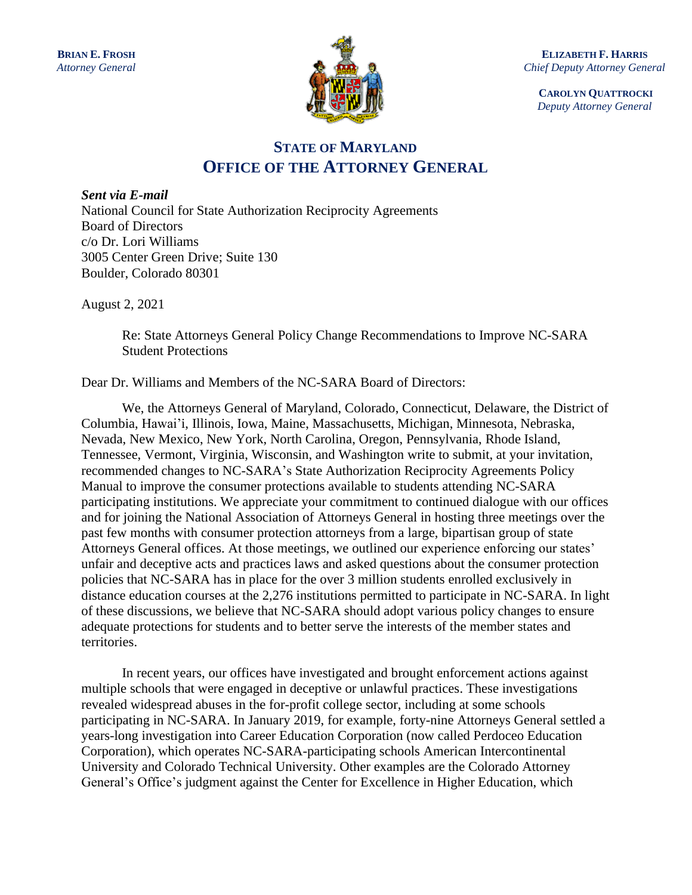

**ELIZABETH F. HARRIS** *Chief Deputy Attorney General*

> **CAROLYN QUATTROCKI** *Deputy Attorney General*

# **STATE OF MARYLAND OFFICE OF THE ATTORNEY GENERAL**

*Sent via E-mail* National Council for State Authorization Reciprocity Agreements Board of Directors c/o Dr. Lori Williams 3005 Center Green Drive; Suite 130 Boulder, Colorado 80301

August 2, 2021

Re: State Attorneys General Policy Change Recommendations to Improve NC-SARA Student Protections

Dear Dr. Williams and Members of the NC-SARA Board of Directors:

We, the Attorneys General of Maryland, Colorado, Connecticut, Delaware, the District of Columbia, Hawai'i, Illinois, Iowa, Maine, Massachusetts, Michigan, Minnesota, Nebraska, Nevada, New Mexico, New York, North Carolina, Oregon, Pennsylvania, Rhode Island, Tennessee, Vermont, Virginia, Wisconsin, and Washington write to submit, at your invitation, recommended changes to NC-SARA's State Authorization Reciprocity Agreements Policy Manual to improve the consumer protections available to students attending NC-SARA participating institutions. We appreciate your commitment to continued dialogue with our offices and for joining the National Association of Attorneys General in hosting three meetings over the past few months with consumer protection attorneys from a large, bipartisan group of state Attorneys General offices. At those meetings, we outlined our experience enforcing our states' unfair and deceptive acts and practices laws and asked questions about the consumer protection policies that NC-SARA has in place for the over 3 million students enrolled exclusively in distance education courses at the 2,276 institutions permitted to participate in NC-SARA. In light of these discussions, we believe that NC-SARA should adopt various policy changes to ensure adequate protections for students and to better serve the interests of the member states and territories.

In recent years, our offices have investigated and brought enforcement actions against multiple schools that were engaged in deceptive or unlawful practices. These investigations revealed widespread abuses in the for-profit college sector, including at some schools participating in NC-SARA. In January 2019, for example, forty-nine Attorneys General settled a years-long investigation into Career Education Corporation (now called Perdoceo Education Corporation), which operates NC-SARA-participating schools American Intercontinental University and Colorado Technical University. Other examples are the Colorado Attorney General's Office's judgment against the Center for Excellence in Higher Education, which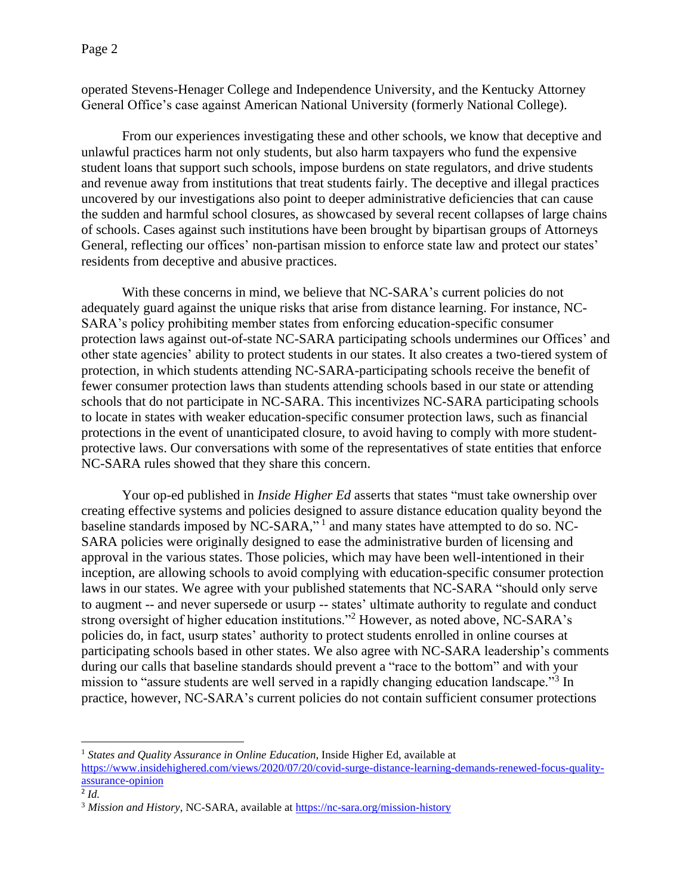Page 2

operated Stevens-Henager College and Independence University, and the Kentucky Attorney General Office's case against American National University (formerly National College).

From our experiences investigating these and other schools, we know that deceptive and unlawful practices harm not only students, but also harm taxpayers who fund the expensive student loans that support such schools, impose burdens on state regulators, and drive students and revenue away from institutions that treat students fairly. The deceptive and illegal practices uncovered by our investigations also point to deeper administrative deficiencies that can cause the sudden and harmful school closures, as showcased by several recent collapses of large chains of schools. Cases against such institutions have been brought by bipartisan groups of Attorneys General, reflecting our offices' non-partisan mission to enforce state law and protect our states' residents from deceptive and abusive practices.

With these concerns in mind, we believe that NC-SARA's current policies do not adequately guard against the unique risks that arise from distance learning. For instance, NC-SARA's policy prohibiting member states from enforcing education-specific consumer protection laws against out-of-state NC-SARA participating schools undermines our Offices' and other state agencies' ability to protect students in our states. It also creates a two-tiered system of protection, in which students attending NC-SARA-participating schools receive the benefit of fewer consumer protection laws than students attending schools based in our state or attending schools that do not participate in NC-SARA. This incentivizes NC-SARA participating schools to locate in states with weaker education-specific consumer protection laws, such as financial protections in the event of unanticipated closure, to avoid having to comply with more studentprotective laws. Our conversations with some of the representatives of state entities that enforce NC-SARA rules showed that they share this concern.

Your op-ed published in *Inside Higher Ed* asserts that states "must take ownership over creating effective systems and policies designed to assure distance education quality beyond the baseline standards imposed by NC-SARA," $1$  and many states have attempted to do so. NC-SARA policies were originally designed to ease the administrative burden of licensing and approval in the various states. Those policies, which may have been well-intentioned in their inception, are allowing schools to avoid complying with education-specific consumer protection laws in our states. We agree with your published statements that NC-SARA "should only serve to augment -- and never supersede or usurp -- states' ultimate authority to regulate and conduct strong oversight of higher education institutions."<sup>2</sup> However, as noted above, NC-SARA's policies do, in fact, usurp states' authority to protect students enrolled in online courses at participating schools based in other states. We also agree with NC-SARA leadership's comments during our calls that baseline standards should prevent a "race to the bottom" and with your mission to "assure students are well served in a rapidly changing education landscape."<sup>3</sup> In practice, however, NC-SARA's current policies do not contain sufficient consumer protections

<sup>&</sup>lt;sup>1</sup> States and Quality Assurance in Online Education, Inside Higher Ed, available at [https://www.insidehighered.com/views/2020/07/20/covid-surge-distance-learning-demands-renewed-focus-quality](https://www.insidehighered.com/views/2020/07/20/covid-surge-distance-learning-demands-renewed-focus-quality-assurance-opinion)[assurance-opinion](https://www.insidehighered.com/views/2020/07/20/covid-surge-distance-learning-demands-renewed-focus-quality-assurance-opinion)

<sup>2</sup> *Id.*

<sup>&</sup>lt;sup>3</sup> *Mission and History*, NC-SARA, available a[t https://nc-sara.org/mission-history](https://nc-sara.org/mission-history)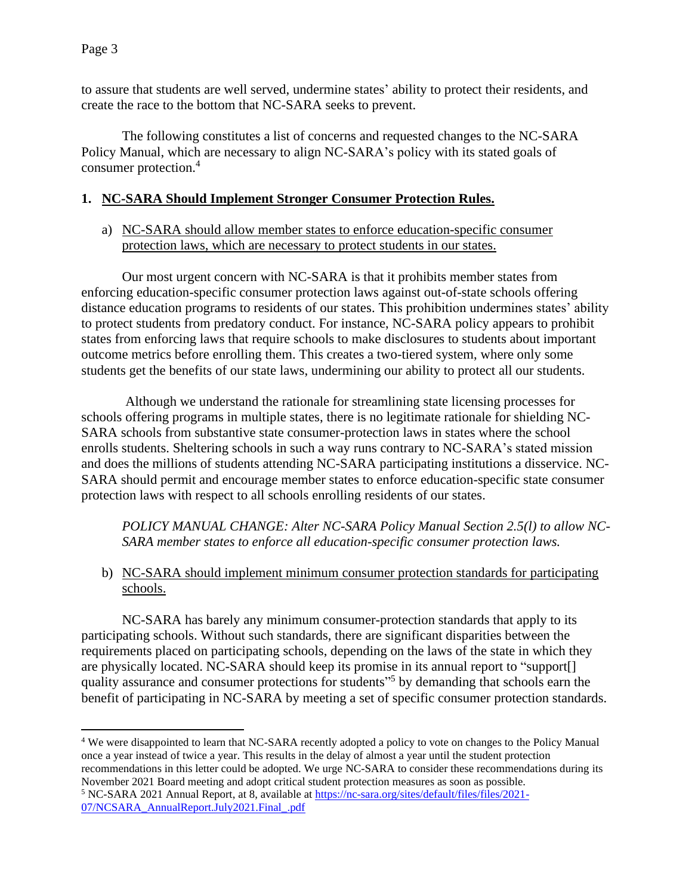to assure that students are well served, undermine states' ability to protect their residents, and create the race to the bottom that NC-SARA seeks to prevent.

The following constitutes a list of concerns and requested changes to the NC-SARA Policy Manual, which are necessary to align NC-SARA's policy with its stated goals of consumer protection.<sup>4</sup>

#### **1. NC-SARA Should Implement Stronger Consumer Protection Rules.**

a) NC-SARA should allow member states to enforce education-specific consumer protection laws, which are necessary to protect students in our states.

Our most urgent concern with NC-SARA is that it prohibits member states from enforcing education-specific consumer protection laws against out-of-state schools offering distance education programs to residents of our states. This prohibition undermines states' ability to protect students from predatory conduct. For instance, NC-SARA policy appears to prohibit states from enforcing laws that require schools to make disclosures to students about important outcome metrics before enrolling them. This creates a two-tiered system, where only some students get the benefits of our state laws, undermining our ability to protect all our students.

Although we understand the rationale for streamlining state licensing processes for schools offering programs in multiple states, there is no legitimate rationale for shielding NC-SARA schools from substantive state consumer-protection laws in states where the school enrolls students. Sheltering schools in such a way runs contrary to NC-SARA's stated mission and does the millions of students attending NC-SARA participating institutions a disservice. NC-SARA should permit and encourage member states to enforce education-specific state consumer protection laws with respect to all schools enrolling residents of our states.

*POLICY MANUAL CHANGE: Alter NC-SARA Policy Manual Section 2.5(l) to allow NC-SARA member states to enforce all education-specific consumer protection laws.* 

b) NC-SARA should implement minimum consumer protection standards for participating schools.

NC-SARA has barely any minimum consumer-protection standards that apply to its participating schools. Without such standards, there are significant disparities between the requirements placed on participating schools, depending on the laws of the state in which they are physically located. NC-SARA should keep its promise in its annual report to "support[] quality assurance and consumer protections for students"<sup>5</sup> by demanding that schools earn the benefit of participating in NC-SARA by meeting a set of specific consumer protection standards.

<sup>4</sup> We were disappointed to learn that NC-SARA recently adopted a policy to vote on changes to the Policy Manual once a year instead of twice a year. This results in the delay of almost a year until the student protection recommendations in this letter could be adopted. We urge NC-SARA to consider these recommendations during its November 2021 Board meeting and adopt critical student protection measures as soon as possible. <sup>5</sup> NC-SARA 2021 Annual Report, at 8, available at [https://nc-sara.org/sites/default/files/files/2021-](https://nc-sara.org/sites/default/files/files/2021-07/NCSARA_AnnualReport.July2021.Final_.pdf)

[<sup>07/</sup>NCSARA\\_AnnualReport.July2021.Final\\_.pdf](https://nc-sara.org/sites/default/files/files/2021-07/NCSARA_AnnualReport.July2021.Final_.pdf)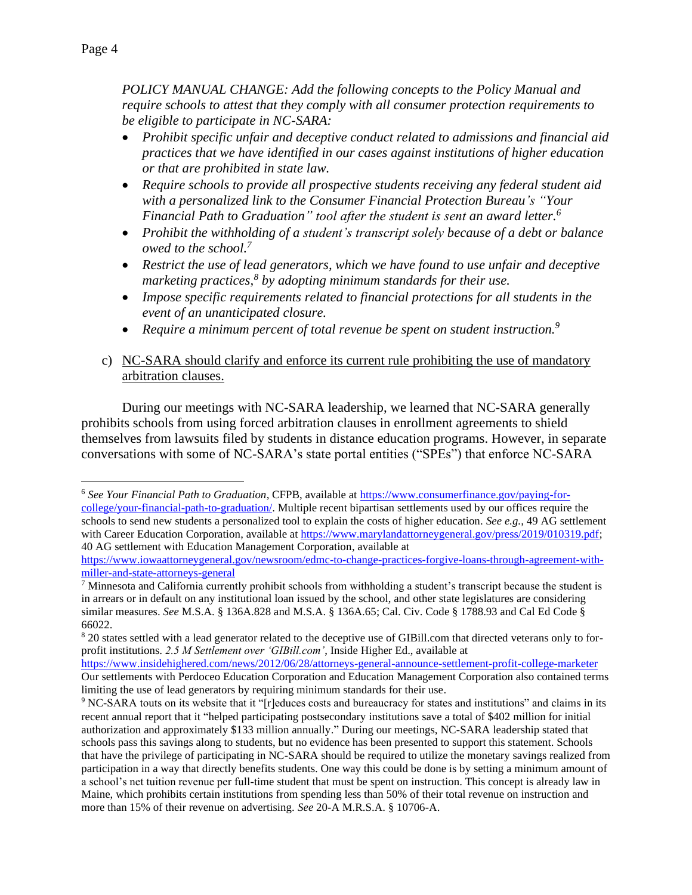*POLICY MANUAL CHANGE: Add the following concepts to the Policy Manual and require schools to attest that they comply with all consumer protection requirements to be eligible to participate in NC-SARA:*

- *Prohibit specific unfair and deceptive conduct related to admissions and financial aid practices that we have identified in our cases against institutions of higher education or that are prohibited in state law.*
- *Require schools to provide all prospective students receiving any federal student aid with a personalized link to the Consumer Financial Protection Bureau's "Your Financial Path to Graduation" tool after the student is sent an award letter. 6*
- *Prohibit the withholding of a student's transcript solely because of a debt or balance owed to the school. 7*
- *Restrict the use of lead generators, which we have found to use unfair and deceptive marketing practices, 8 by adopting minimum standards for their use.*
- *Impose specific requirements related to financial protections for all students in the event of an unanticipated closure.*
- *Require a minimum percent of total revenue be spent on student instruction.<sup>9</sup>*
- c) NC-SARA should clarify and enforce its current rule prohibiting the use of mandatory arbitration clauses.

During our meetings with NC-SARA leadership, we learned that NC-SARA generally prohibits schools from using forced arbitration clauses in enrollment agreements to shield themselves from lawsuits filed by students in distance education programs. However, in separate conversations with some of NC-SARA's state portal entities ("SPEs") that enforce NC-SARA

<sup>6</sup> *See Your Financial Path to Graduation*, CFPB, available at [https://www.consumerfinance.gov/paying-for](https://www.consumerfinance.gov/paying-for-college/your-financial-path-to-graduation/)[college/your-financial-path-to-graduation/.](https://www.consumerfinance.gov/paying-for-college/your-financial-path-to-graduation/) Multiple recent bipartisan settlements used by our offices require the schools to send new students a personalized tool to explain the costs of higher education. *See e.g.,* 49 AG settlement with Career Education Corporation, available at [https://www.marylandattorneygeneral.gov/press/2019/010319.pdf;](https://www.marylandattorneygeneral.gov/press/2019/010319.pdf) 40 AG settlement with Education Management Corporation, available at

[https://www.iowaattorneygeneral.gov/newsroom/edmc-to-change-practices-forgive-loans-through-agreement-with](https://www.iowaattorneygeneral.gov/newsroom/edmc-to-change-practices-forgive-loans-through-agreement-with-miller-and-state-attorneys-general)[miller-and-state-attorneys-general](https://www.iowaattorneygeneral.gov/newsroom/edmc-to-change-practices-forgive-loans-through-agreement-with-miller-and-state-attorneys-general)

 $<sup>7</sup>$  Minnesota and California currently prohibit schools from withholding a student's transcript because the student is</sup> in arrears or in default on any institutional loan issued by the school, and other state legislatures are considering similar measures. *See* M.S.A. § 136A.828 and M.S.A. § 136A.65; Cal. Civ. Code § 1788.93 and Cal Ed Code § 66022.

<sup>&</sup>lt;sup>8</sup> 20 states settled with a lead generator related to the deceptive use of GIBill.com that directed veterans only to forprofit institutions. *2.5 M Settlement over 'GIBill.com'*, Inside Higher Ed., available at

<https://www.insidehighered.com/news/2012/06/28/attorneys-general-announce-settlement-profit-college-marketer> Our settlements with Perdoceo Education Corporation and Education Management Corporation also contained terms limiting the use of lead generators by requiring minimum standards for their use.

<sup>&</sup>lt;sup>9</sup> NC-SARA touts on its website that it "[r]educes costs and bureaucracy for states and institutions" and claims in its recent annual report that it "helped participating postsecondary institutions save a total of \$402 million for initial authorization and approximately \$133 million annually." During our meetings, NC-SARA leadership stated that schools pass this savings along to students, but no evidence has been presented to support this statement. Schools that have the privilege of participating in NC-SARA should be required to utilize the monetary savings realized from participation in a way that directly benefits students. One way this could be done is by setting a minimum amount of a school's net tuition revenue per full-time student that must be spent on instruction. This concept is already law in Maine, which prohibits certain institutions from spending less than 50% of their total revenue on instruction and more than 15% of their revenue on advertising. *See* 20-A M.R.S.A. § 10706-A.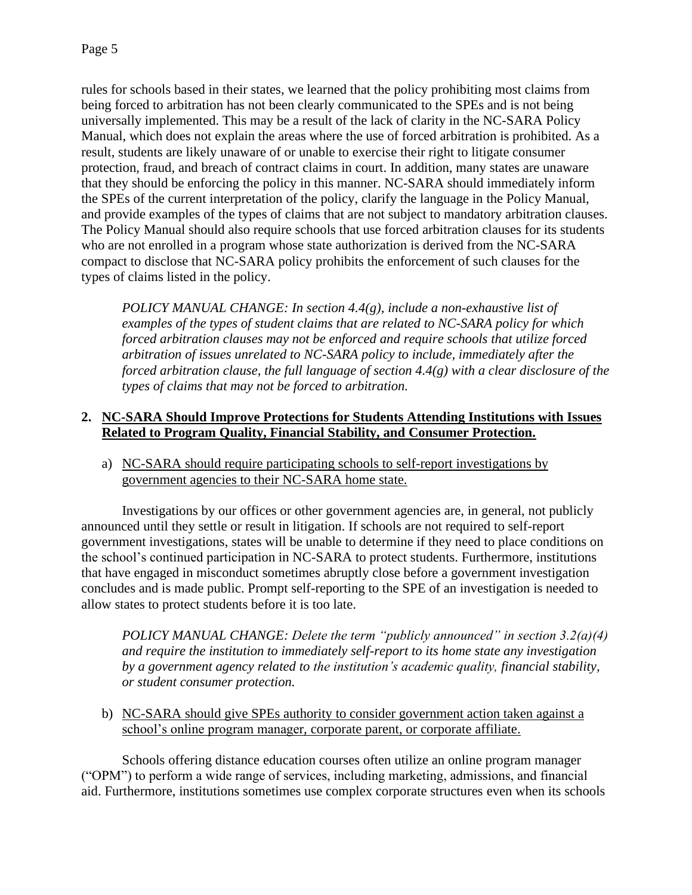rules for schools based in their states, we learned that the policy prohibiting most claims from being forced to arbitration has not been clearly communicated to the SPEs and is not being universally implemented. This may be a result of the lack of clarity in the NC-SARA Policy Manual, which does not explain the areas where the use of forced arbitration is prohibited. As a result, students are likely unaware of or unable to exercise their right to litigate consumer protection, fraud, and breach of contract claims in court. In addition, many states are unaware that they should be enforcing the policy in this manner. NC-SARA should immediately inform the SPEs of the current interpretation of the policy, clarify the language in the Policy Manual, and provide examples of the types of claims that are not subject to mandatory arbitration clauses. The Policy Manual should also require schools that use forced arbitration clauses for its students who are not enrolled in a program whose state authorization is derived from the NC-SARA compact to disclose that NC-SARA policy prohibits the enforcement of such clauses for the types of claims listed in the policy.

*POLICY MANUAL CHANGE: In section 4.4(g), include a non-exhaustive list of examples of the types of student claims that are related to NC-SARA policy for which forced arbitration clauses may not be enforced and require schools that utilize forced arbitration of issues unrelated to NC-SARA policy to include, immediately after the forced arbitration clause, the full language of section 4.4(g) with a clear disclosure of the types of claims that may not be forced to arbitration.*

## **2. NC-SARA Should Improve Protections for Students Attending Institutions with Issues Related to Program Quality, Financial Stability, and Consumer Protection.**

a) NC-SARA should require participating schools to self-report investigations by government agencies to their NC-SARA home state.

Investigations by our offices or other government agencies are, in general, not publicly announced until they settle or result in litigation. If schools are not required to self-report government investigations, states will be unable to determine if they need to place conditions on the school's continued participation in NC-SARA to protect students. Furthermore, institutions that have engaged in misconduct sometimes abruptly close before a government investigation concludes and is made public. Prompt self-reporting to the SPE of an investigation is needed to allow states to protect students before it is too late.

*POLICY MANUAL CHANGE: Delete the term "publicly announced" in section 3.2(a)(4) and require the institution to immediately self-report to its home state any investigation by a government agency related to the institution's academic quality, financial stability, or student consumer protection.*

b) NC-SARA should give SPEs authority to consider government action taken against a school's online program manager, corporate parent, or corporate affiliate.

Schools offering distance education courses often utilize an online program manager ("OPM") to perform a wide range of services, including marketing, admissions, and financial aid. Furthermore, institutions sometimes use complex corporate structures even when its schools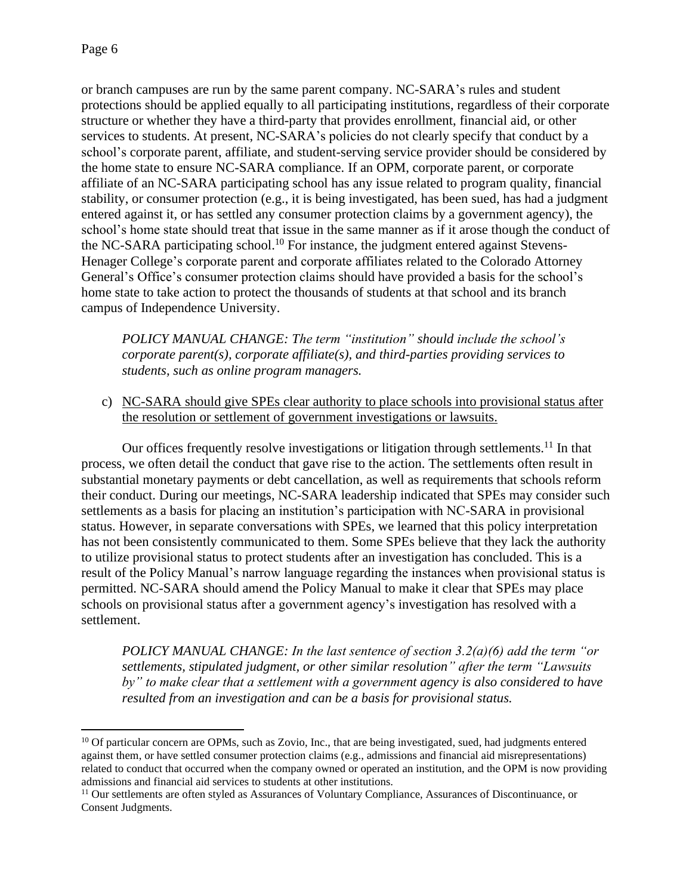or branch campuses are run by the same parent company. NC-SARA's rules and student protections should be applied equally to all participating institutions, regardless of their corporate structure or whether they have a third-party that provides enrollment, financial aid, or other services to students. At present, NC-SARA's policies do not clearly specify that conduct by a school's corporate parent, affiliate, and student-serving service provider should be considered by the home state to ensure NC-SARA compliance. If an OPM, corporate parent, or corporate affiliate of an NC-SARA participating school has any issue related to program quality, financial stability, or consumer protection (e.g., it is being investigated, has been sued, has had a judgment entered against it, or has settled any consumer protection claims by a government agency), the school's home state should treat that issue in the same manner as if it arose though the conduct of the NC-SARA participating school.<sup>10</sup> For instance, the judgment entered against Stevens-Henager College's corporate parent and corporate affiliates related to the Colorado Attorney General's Office's consumer protection claims should have provided a basis for the school's home state to take action to protect the thousands of students at that school and its branch campus of Independence University.

*POLICY MANUAL CHANGE: The term "institution" should include the school's corporate parent(s), corporate affiliate(s), and third-parties providing services to students, such as online program managers.*

c) NC-SARA should give SPEs clear authority to place schools into provisional status after the resolution or settlement of government investigations or lawsuits.

Our offices frequently resolve investigations or litigation through settlements.<sup>11</sup> In that process, we often detail the conduct that gave rise to the action. The settlements often result in substantial monetary payments or debt cancellation, as well as requirements that schools reform their conduct. During our meetings, NC-SARA leadership indicated that SPEs may consider such settlements as a basis for placing an institution's participation with NC-SARA in provisional status. However, in separate conversations with SPEs, we learned that this policy interpretation has not been consistently communicated to them. Some SPEs believe that they lack the authority to utilize provisional status to protect students after an investigation has concluded. This is a result of the Policy Manual's narrow language regarding the instances when provisional status is permitted. NC-SARA should amend the Policy Manual to make it clear that SPEs may place schools on provisional status after a government agency's investigation has resolved with a settlement.

*POLICY MANUAL CHANGE: In the last sentence of section 3.2(a)(6) add the term "or settlements, stipulated judgment, or other similar resolution" after the term "Lawsuits by" to make clear that a settlement with a government agency is also considered to have resulted from an investigation and can be a basis for provisional status.*

<sup>&</sup>lt;sup>10</sup> Of particular concern are OPMs, such as Zovio, Inc., that are being investigated, sued, had judgments entered against them, or have settled consumer protection claims (e.g., admissions and financial aid misrepresentations) related to conduct that occurred when the company owned or operated an institution, and the OPM is now providing admissions and financial aid services to students at other institutions.

<sup>&</sup>lt;sup>11</sup> Our settlements are often styled as Assurances of Voluntary Compliance, Assurances of Discontinuance, or Consent Judgments.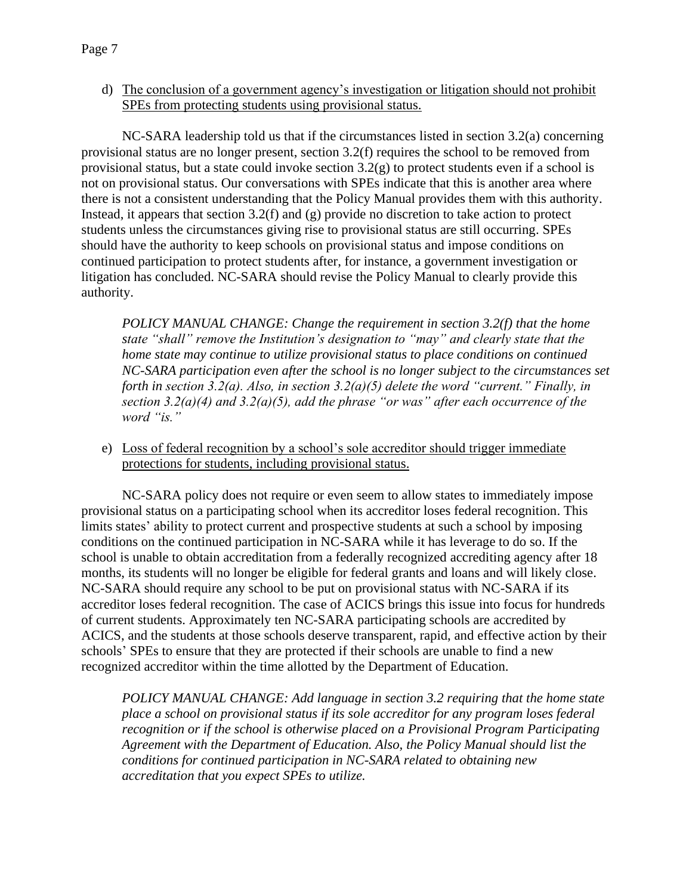d) The conclusion of a government agency's investigation or litigation should not prohibit SPEs from protecting students using provisional status.

NC-SARA leadership told us that if the circumstances listed in section 3.2(a) concerning provisional status are no longer present, section 3.2(f) requires the school to be removed from provisional status, but a state could invoke section 3.2(g) to protect students even if a school is not on provisional status. Our conversations with SPEs indicate that this is another area where there is not a consistent understanding that the Policy Manual provides them with this authority. Instead, it appears that section 3.2(f) and (g) provide no discretion to take action to protect students unless the circumstances giving rise to provisional status are still occurring. SPEs should have the authority to keep schools on provisional status and impose conditions on continued participation to protect students after, for instance, a government investigation or litigation has concluded. NC-SARA should revise the Policy Manual to clearly provide this authority.

*POLICY MANUAL CHANGE: Change the requirement in section 3.2(f) that the home state "shall" remove the Institution's designation to "may" and clearly state that the home state may continue to utilize provisional status to place conditions on continued NC-SARA participation even after the school is no longer subject to the circumstances set forth in section 3.2(a). Also, in section 3.2(a)(5) delete the word "current." Finally, in section 3.2(a)(4) and 3.2(a)(5), add the phrase "or was" after each occurrence of the word "is."*

e) Loss of federal recognition by a school's sole accreditor should trigger immediate protections for students, including provisional status.

NC-SARA policy does not require or even seem to allow states to immediately impose provisional status on a participating school when its accreditor loses federal recognition. This limits states' ability to protect current and prospective students at such a school by imposing conditions on the continued participation in NC-SARA while it has leverage to do so. If the school is unable to obtain accreditation from a federally recognized accrediting agency after 18 months, its students will no longer be eligible for federal grants and loans and will likely close. NC-SARA should require any school to be put on provisional status with NC-SARA if its accreditor loses federal recognition. The case of ACICS brings this issue into focus for hundreds of current students. Approximately ten NC-SARA participating schools are accredited by ACICS, and the students at those schools deserve transparent, rapid, and effective action by their schools' SPEs to ensure that they are protected if their schools are unable to find a new recognized accreditor within the time allotted by the Department of Education.

*POLICY MANUAL CHANGE: Add language in section 3.2 requiring that the home state place a school on provisional status if its sole accreditor for any program loses federal recognition or if the school is otherwise placed on a Provisional Program Participating Agreement with the Department of Education. Also, the Policy Manual should list the conditions for continued participation in NC-SARA related to obtaining new accreditation that you expect SPEs to utilize.*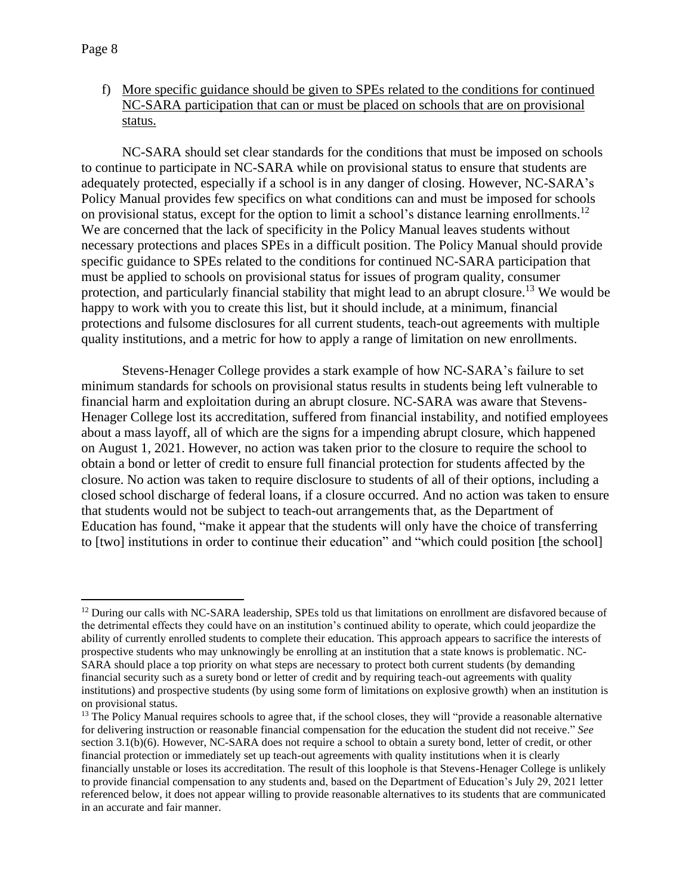f) More specific guidance should be given to SPEs related to the conditions for continued NC-SARA participation that can or must be placed on schools that are on provisional status.

NC-SARA should set clear standards for the conditions that must be imposed on schools to continue to participate in NC-SARA while on provisional status to ensure that students are adequately protected, especially if a school is in any danger of closing. However, NC-SARA's Policy Manual provides few specifics on what conditions can and must be imposed for schools on provisional status, except for the option to limit a school's distance learning enrollments.<sup>12</sup> We are concerned that the lack of specificity in the Policy Manual leaves students without necessary protections and places SPEs in a difficult position. The Policy Manual should provide specific guidance to SPEs related to the conditions for continued NC-SARA participation that must be applied to schools on provisional status for issues of program quality, consumer protection, and particularly financial stability that might lead to an abrupt closure.<sup>13</sup> We would be happy to work with you to create this list, but it should include, at a minimum, financial protections and fulsome disclosures for all current students, teach-out agreements with multiple quality institutions, and a metric for how to apply a range of limitation on new enrollments.

Stevens-Henager College provides a stark example of how NC-SARA's failure to set minimum standards for schools on provisional status results in students being left vulnerable to financial harm and exploitation during an abrupt closure. NC-SARA was aware that Stevens-Henager College lost its accreditation, suffered from financial instability, and notified employees about a mass layoff, all of which are the signs for a impending abrupt closure, which happened on August 1, 2021. However, no action was taken prior to the closure to require the school to obtain a bond or letter of credit to ensure full financial protection for students affected by the closure. No action was taken to require disclosure to students of all of their options, including a closed school discharge of federal loans, if a closure occurred. And no action was taken to ensure that students would not be subject to teach-out arrangements that, as the Department of Education has found, "make it appear that the students will only have the choice of transferring to [two] institutions in order to continue their education" and "which could position [the school]

 $12$  During our calls with NC-SARA leadership, SPEs told us that limitations on enrollment are disfavored because of the detrimental effects they could have on an institution's continued ability to operate, which could jeopardize the ability of currently enrolled students to complete their education. This approach appears to sacrifice the interests of prospective students who may unknowingly be enrolling at an institution that a state knows is problematic. NC-SARA should place a top priority on what steps are necessary to protect both current students (by demanding financial security such as a surety bond or letter of credit and by requiring teach-out agreements with quality institutions) and prospective students (by using some form of limitations on explosive growth) when an institution is on provisional status.

<sup>&</sup>lt;sup>13</sup> The Policy Manual requires schools to agree that, if the school closes, they will "provide a reasonable alternative" for delivering instruction or reasonable financial compensation for the education the student did not receive." *See*  section 3.1(b)(6). However, NC-SARA does not require a school to obtain a surety bond, letter of credit, or other financial protection or immediately set up teach-out agreements with quality institutions when it is clearly financially unstable or loses its accreditation. The result of this loophole is that Stevens-Henager College is unlikely to provide financial compensation to any students and, based on the Department of Education's July 29, 2021 letter referenced below, it does not appear willing to provide reasonable alternatives to its students that are communicated in an accurate and fair manner.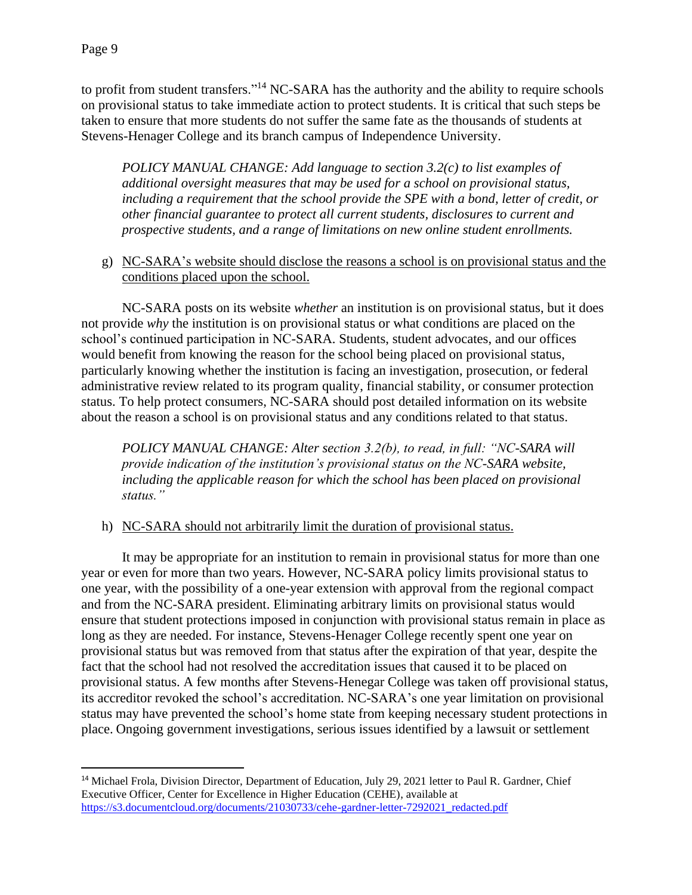to profit from student transfers."<sup>14</sup> NC-SARA has the authority and the ability to require schools on provisional status to take immediate action to protect students. It is critical that such steps be taken to ensure that more students do not suffer the same fate as the thousands of students at Stevens-Henager College and its branch campus of Independence University.

*POLICY MANUAL CHANGE: Add language to section 3.2(c) to list examples of additional oversight measures that may be used for a school on provisional status, including a requirement that the school provide the SPE with a bond, letter of credit, or other financial guarantee to protect all current students, disclosures to current and prospective students, and a range of limitations on new online student enrollments.*

g) NC-SARA's website should disclose the reasons a school is on provisional status and the conditions placed upon the school.

NC-SARA posts on its website *whether* an institution is on provisional status, but it does not provide *why* the institution is on provisional status or what conditions are placed on the school's continued participation in NC-SARA. Students, student advocates, and our offices would benefit from knowing the reason for the school being placed on provisional status, particularly knowing whether the institution is facing an investigation, prosecution, or federal administrative review related to its program quality, financial stability, or consumer protection status. To help protect consumers, NC-SARA should post detailed information on its website about the reason a school is on provisional status and any conditions related to that status.

*POLICY MANUAL CHANGE: Alter section 3.2(b), to read, in full: "NC-SARA will provide indication of the institution's provisional status on the NC-SARA website, including the applicable reason for which the school has been placed on provisional status."*

h) NC-SARA should not arbitrarily limit the duration of provisional status.

It may be appropriate for an institution to remain in provisional status for more than one year or even for more than two years. However, NC-SARA policy limits provisional status to one year, with the possibility of a one-year extension with approval from the regional compact and from the NC-SARA president. Eliminating arbitrary limits on provisional status would ensure that student protections imposed in conjunction with provisional status remain in place as long as they are needed. For instance, Stevens-Henager College recently spent one year on provisional status but was removed from that status after the expiration of that year, despite the fact that the school had not resolved the accreditation issues that caused it to be placed on provisional status. A few months after Stevens-Henegar College was taken off provisional status, its accreditor revoked the school's accreditation. NC-SARA's one year limitation on provisional status may have prevented the school's home state from keeping necessary student protections in place. Ongoing government investigations, serious issues identified by a lawsuit or settlement

<sup>&</sup>lt;sup>14</sup> Michael Frola, Division Director, Department of Education, July 29, 2021 letter to Paul R. Gardner, Chief Executive Officer, Center for Excellence in Higher Education (CEHE), available at [https://s3.documentcloud.org/documents/21030733/cehe-gardner-letter-7292021\\_redacted.pdf](https://s3.documentcloud.org/documents/21030733/cehe-gardner-letter-7292021_redacted.pdf)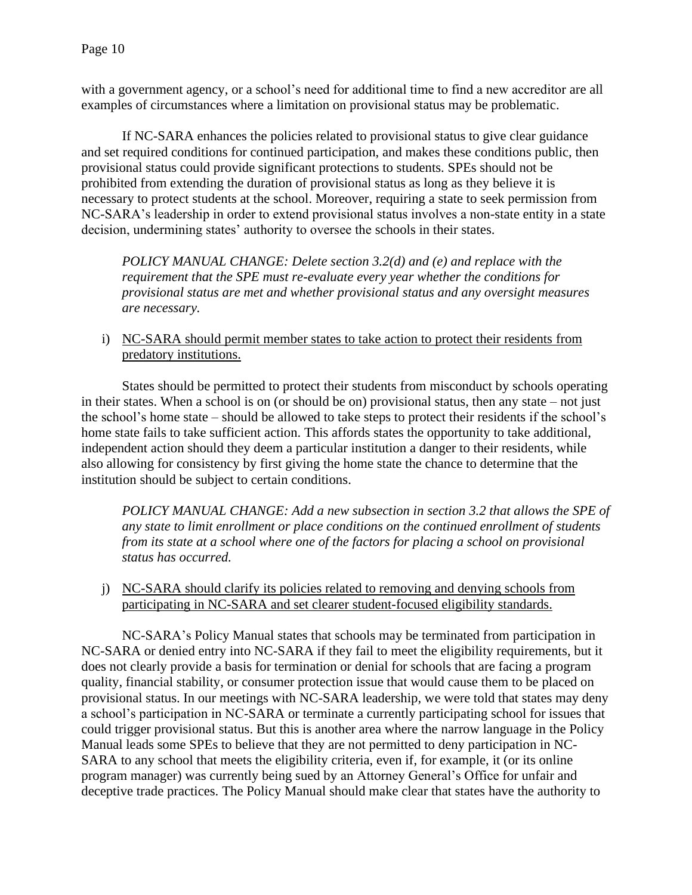with a government agency, or a school's need for additional time to find a new accreditor are all examples of circumstances where a limitation on provisional status may be problematic.

If NC-SARA enhances the policies related to provisional status to give clear guidance and set required conditions for continued participation, and makes these conditions public, then provisional status could provide significant protections to students. SPEs should not be prohibited from extending the duration of provisional status as long as they believe it is necessary to protect students at the school. Moreover, requiring a state to seek permission from NC-SARA's leadership in order to extend provisional status involves a non-state entity in a state decision, undermining states' authority to oversee the schools in their states.

*POLICY MANUAL CHANGE: Delete section 3.2(d) and (e) and replace with the requirement that the SPE must re-evaluate every year whether the conditions for provisional status are met and whether provisional status and any oversight measures are necessary.*

i) NC-SARA should permit member states to take action to protect their residents from predatory institutions.

States should be permitted to protect their students from misconduct by schools operating in their states. When a school is on (or should be on) provisional status, then any state – not just the school's home state – should be allowed to take steps to protect their residents if the school's home state fails to take sufficient action. This affords states the opportunity to take additional, independent action should they deem a particular institution a danger to their residents, while also allowing for consistency by first giving the home state the chance to determine that the institution should be subject to certain conditions.

*POLICY MANUAL CHANGE: Add a new subsection in section 3.2 that allows the SPE of any state to limit enrollment or place conditions on the continued enrollment of students from its state at a school where one of the factors for placing a school on provisional status has occurred.*

j) NC-SARA should clarify its policies related to removing and denying schools from participating in NC-SARA and set clearer student-focused eligibility standards.

NC-SARA's Policy Manual states that schools may be terminated from participation in NC-SARA or denied entry into NC-SARA if they fail to meet the eligibility requirements, but it does not clearly provide a basis for termination or denial for schools that are facing a program quality, financial stability, or consumer protection issue that would cause them to be placed on provisional status. In our meetings with NC-SARA leadership, we were told that states may deny a school's participation in NC-SARA or terminate a currently participating school for issues that could trigger provisional status. But this is another area where the narrow language in the Policy Manual leads some SPEs to believe that they are not permitted to deny participation in NC-SARA to any school that meets the eligibility criteria, even if, for example, it (or its online program manager) was currently being sued by an Attorney General's Office for unfair and deceptive trade practices. The Policy Manual should make clear that states have the authority to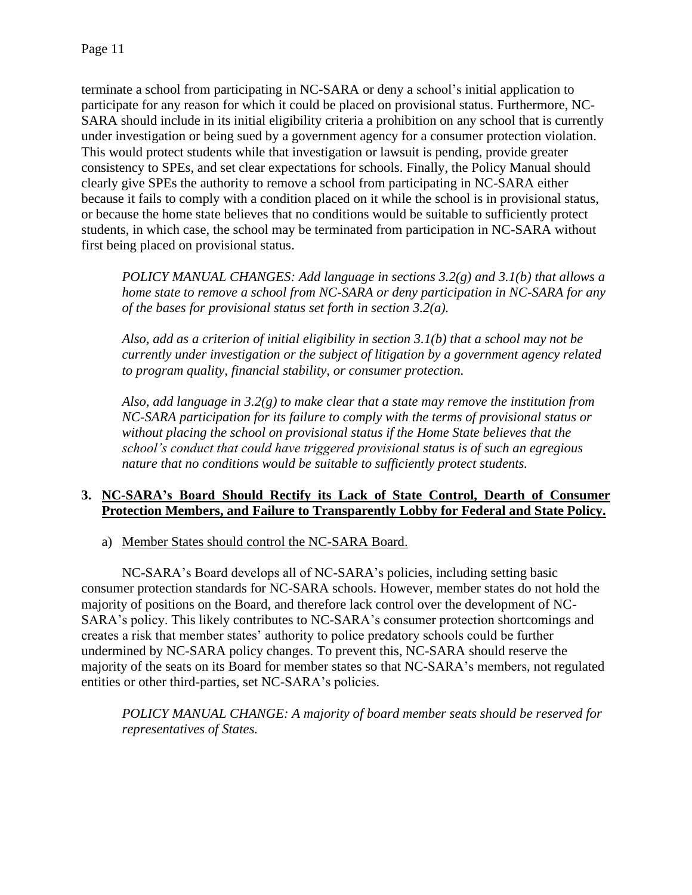terminate a school from participating in NC-SARA or deny a school's initial application to participate for any reason for which it could be placed on provisional status. Furthermore, NC-SARA should include in its initial eligibility criteria a prohibition on any school that is currently under investigation or being sued by a government agency for a consumer protection violation. This would protect students while that investigation or lawsuit is pending, provide greater consistency to SPEs, and set clear expectations for schools. Finally, the Policy Manual should clearly give SPEs the authority to remove a school from participating in NC-SARA either because it fails to comply with a condition placed on it while the school is in provisional status, or because the home state believes that no conditions would be suitable to sufficiently protect students, in which case, the school may be terminated from participation in NC-SARA without first being placed on provisional status.

*POLICY MANUAL CHANGES: Add language in sections 3.2(g) and 3.1(b) that allows a home state to remove a school from NC-SARA or deny participation in NC-SARA for any of the bases for provisional status set forth in section 3.2(a).* 

*Also, add as a criterion of initial eligibility in section 3.1(b) that a school may not be currently under investigation or the subject of litigation by a government agency related to program quality, financial stability, or consumer protection.*

*Also, add language in 3.2(g) to make clear that a state may remove the institution from NC-SARA participation for its failure to comply with the terms of provisional status or without placing the school on provisional status if the Home State believes that the school's conduct that could have triggered provisional status is of such an egregious nature that no conditions would be suitable to sufficiently protect students.*

### **3. NC-SARA's Board Should Rectify its Lack of State Control, Dearth of Consumer Protection Members, and Failure to Transparently Lobby for Federal and State Policy.**

a) Member States should control the NC-SARA Board.

NC-SARA's Board develops all of NC-SARA's policies, including setting basic consumer protection standards for NC-SARA schools. However, member states do not hold the majority of positions on the Board, and therefore lack control over the development of NC-SARA's policy. This likely contributes to NC-SARA's consumer protection shortcomings and creates a risk that member states' authority to police predatory schools could be further undermined by NC-SARA policy changes. To prevent this, NC-SARA should reserve the majority of the seats on its Board for member states so that NC-SARA's members, not regulated entities or other third-parties, set NC-SARA's policies.

*POLICY MANUAL CHANGE: A majority of board member seats should be reserved for representatives of States.*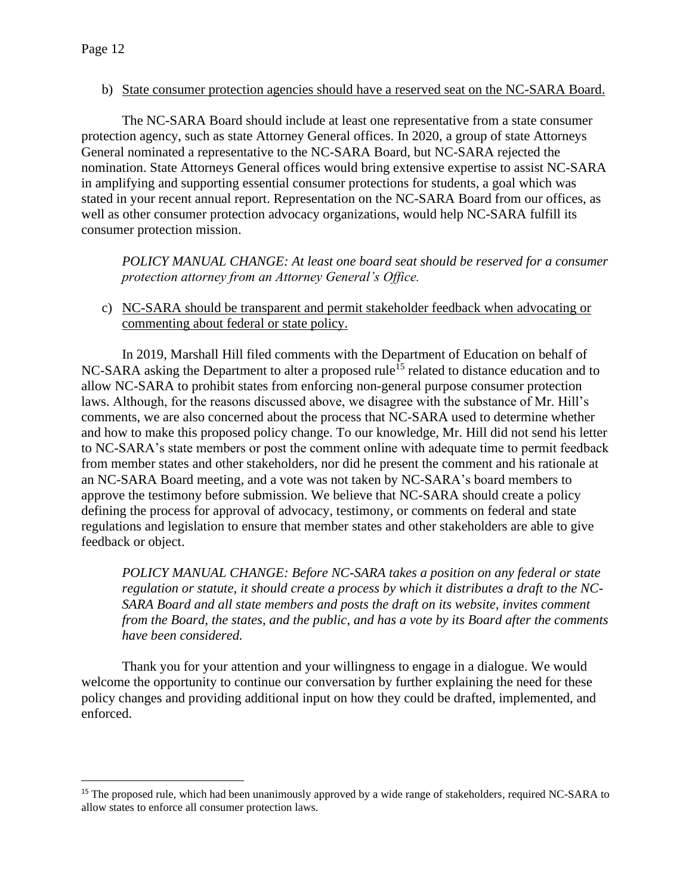#### b) State consumer protection agencies should have a reserved seat on the NC-SARA Board.

The NC-SARA Board should include at least one representative from a state consumer protection agency, such as state Attorney General offices. In 2020, a group of state Attorneys General nominated a representative to the NC-SARA Board, but NC-SARA rejected the nomination. State Attorneys General offices would bring extensive expertise to assist NC-SARA in amplifying and supporting essential consumer protections for students, a goal which was stated in your recent annual report. Representation on the NC-SARA Board from our offices, as well as other consumer protection advocacy organizations, would help NC-SARA fulfill its consumer protection mission.

*POLICY MANUAL CHANGE: At least one board seat should be reserved for a consumer protection attorney from an Attorney General's Office.* 

c) NC-SARA should be transparent and permit stakeholder feedback when advocating or commenting about federal or state policy.

In 2019, Marshall Hill filed comments with the Department of Education on behalf of NC-SARA asking the Department to alter a proposed rule<sup>15</sup> related to distance education and to allow NC-SARA to prohibit states from enforcing non-general purpose consumer protection laws. Although, for the reasons discussed above, we disagree with the substance of Mr. Hill's comments, we are also concerned about the process that NC-SARA used to determine whether and how to make this proposed policy change. To our knowledge, Mr. Hill did not send his letter to NC-SARA's state members or post the comment online with adequate time to permit feedback from member states and other stakeholders, nor did he present the comment and his rationale at an NC-SARA Board meeting, and a vote was not taken by NC-SARA's board members to approve the testimony before submission. We believe that NC-SARA should create a policy defining the process for approval of advocacy, testimony, or comments on federal and state regulations and legislation to ensure that member states and other stakeholders are able to give feedback or object.

*POLICY MANUAL CHANGE: Before NC-SARA takes a position on any federal or state regulation or statute, it should create a process by which it distributes a draft to the NC-SARA Board and all state members and posts the draft on its website, invites comment from the Board, the states, and the public, and has a vote by its Board after the comments have been considered.*

Thank you for your attention and your willingness to engage in a dialogue. We would welcome the opportunity to continue our conversation by further explaining the need for these policy changes and providing additional input on how they could be drafted, implemented, and enforced.

<sup>&</sup>lt;sup>15</sup> The proposed rule, which had been unanimously approved by a wide range of stakeholders, required NC-SARA to allow states to enforce all consumer protection laws.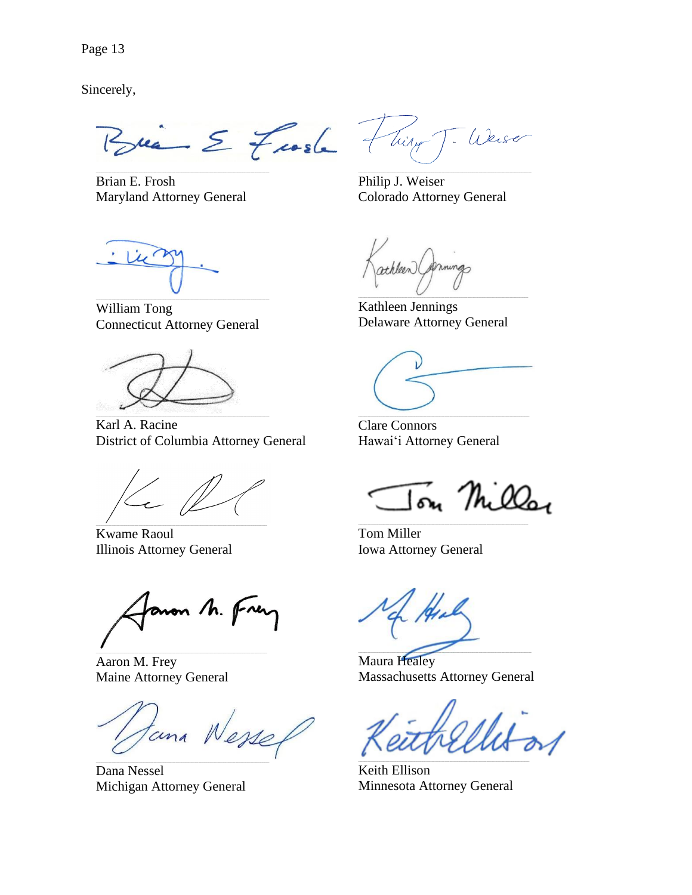Sincerely,

Brie E Froste 7

Brian E. Frosh **Maryland Attorney General** 

Weise Tilly T.

Philip J. Weiser Colorado Attorney General

William Tong **Connecticut Attorney General** 

Karl A. Racine District of Columbia Attorney General

**Kwame Raoul Illinois Attorney General** 

anon M. Frer

Aaron M. Frey **Maine Attorney General** 

tana Wessel

Dana Nessel Michigan Attorney General

athleen (permings

Kathleen Jennings **Delaware Attorney General** 

**Clare Connors** Hawai'i Attorney General

on Milla

Tom Miller **Iowa Attorney General** 

**Maura Healey Massachusetts Attorney General** 

Keith Ellison Minnesota Attorney General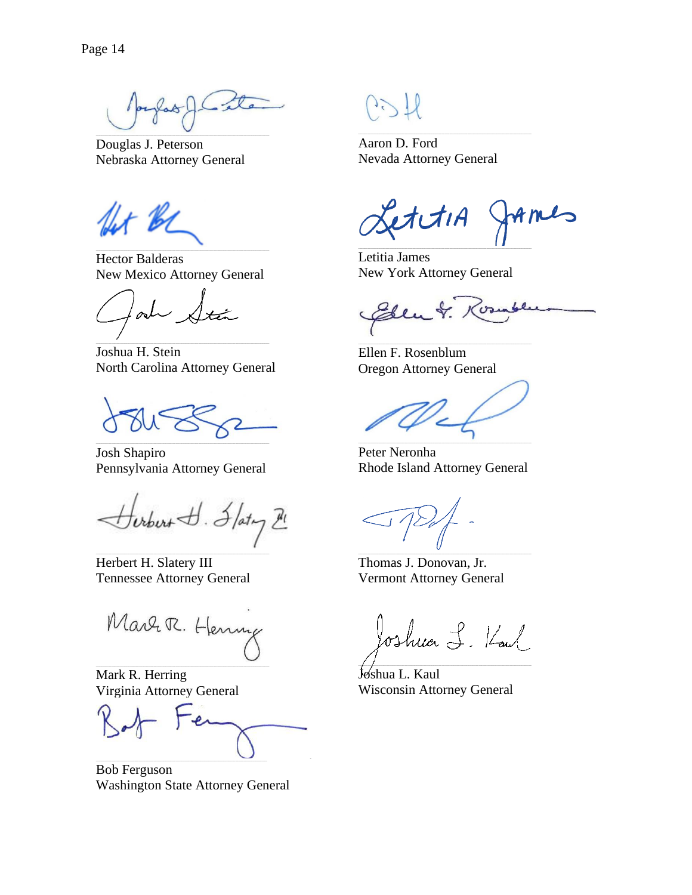fas A Late

Douglas J. Peterson Nebraska Attorney General

Lt BL

**Hector Balderas New Mexico Attorney General** 

od

Joshua H. Stein North Carolina Attorney General

Josh Shapiro Pennsylvania Attorney General

Surburt J. Flating Hl

Herbert H. Slatery III **Tennessee Attorney General** 

Marr R. Henry

Mark R. Herring Virginia Attorney General

**Bob Ferguson Washington State Attorney General** 

Aaron D. Ford Nevada Attorney General

 $2$ t $\mathcal{A}$  $1$ A  $\mathcal{L}_{\mathbf{D}}$ 

Letitia James New York Attorney General

 $\sigma$ 

Ellen F. Rosenblum **Oregon Attorney General** 

Peter Neronha Rhode Island Attorney General

Thomas J. Donovan, Jr. **Vermont Attorney General** 

Joshua L. Kaul

Joshua L. Kaul **Wisconsin Attorney General**